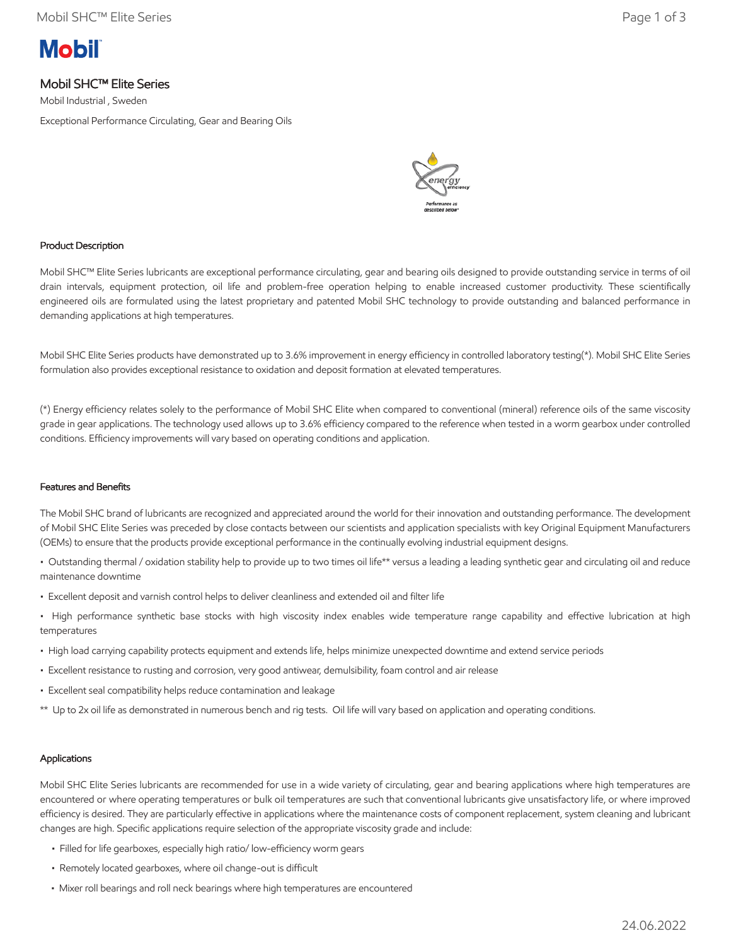# **Mobil**

# Mobil SHC™ Elite Series

Mobil Industrial , Sweden

Exceptional Performance Circulating, Gear and Bearing Oils



## Product Description

Mobil SHC™ Elite Series lubricants are exceptional performance circulating, gear and bearing oils designed to provide outstanding service in terms of oil drain intervals, equipment protection, oil life and problem-free operation helping to enable increased customer productivity. These scientifically engineered oils are formulated using the latest proprietary and patented Mobil SHC technology to provide outstanding and balanced performance in demanding applications at high temperatures.

Mobil SHC Elite Series products have demonstrated up to 3.6% improvement in energy efficiency in controlled laboratory testing(\*). Mobil SHC Elite Series formulation also provides exceptional resistance to oxidation and deposit formation at elevated temperatures.

(\*) Energy efficiency relates solely to the performance of Mobil SHC Elite when compared to conventional (mineral) reference oils of the same viscosity grade in gear applications. The technology used allows up to 3.6% efficiency compared to the reference when tested in a worm gearbox under controlled conditions. Efficiency improvements will vary based on operating conditions and application.

#### Features and Benefits

The Mobil SHC brand of lubricants are recognized and appreciated around the world for their innovation and outstanding performance. The development of Mobil SHC Elite Series was preceded by close contacts between our scientists and application specialists with key Original Equipment Manufacturers (OEMs) to ensure that the products provide exceptional performance in the continually evolving industrial equipment designs.

• Outstanding thermal / oxidation stability help to provide up to two times oil life\*\* versus a leading a leading synthetic gear and circulating oil and reduce maintenance downtime

- Excellent deposit and varnish control helps to deliver cleanliness and extended oil and filter life
- High performance synthetic base stocks with high viscosity index enables wide temperature range capability and effective lubrication at high temperatures
- High load carrying capability protects equipment and extends life, helps minimize unexpected downtime and extend service periods
- Excellent resistance to rusting and corrosion, very good antiwear, demulsibility, foam control and air release
- Excellent seal compatibility helps reduce contamination and leakage
- \*\* Up to 2x oil life as demonstrated in numerous bench and rig tests. Oil life will vary based on application and operating conditions.

## Applications

Mobil SHC Elite Series lubricants are recommended for use in a wide variety of circulating, gear and bearing applications where high temperatures are encountered or where operating temperatures or bulk oil temperatures are such that conventional lubricants give unsatisfactory life, or where improved efficiency is desired. They are particularly effective in applications where the maintenance costs of component replacement, system cleaning and lubricant changes are high. Specific applications require selection of the appropriate viscosity grade and include:

- Filled for life gearboxes, especially high ratio/ low-efficiency worm gears
- Remotely located gearboxes, where oil change-out is difficult
- Mixer roll bearings and roll neck bearings where high temperatures are encountered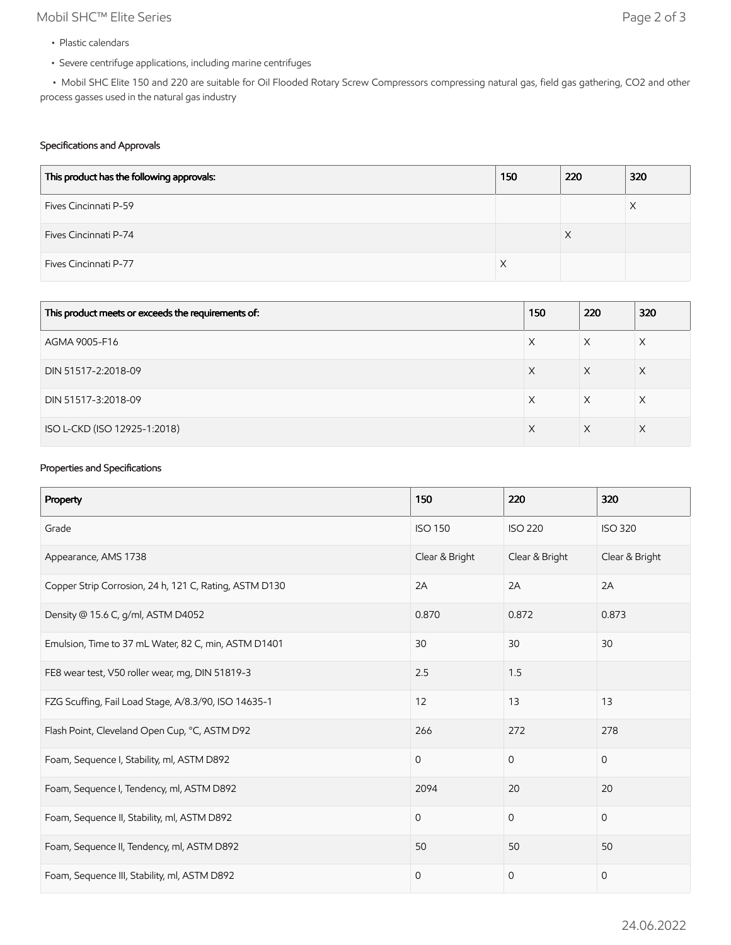# Mobil SHC™ Elite Series Page 2 of 3

- Plastic calendars
- Severe centrifuge applications, including marine centrifuges

 • Mobil SHC Elite 150 and 220 are suitable for Oil Flooded Rotary Screw Compressors compressing natural gas, field gas gathering, CO2 and other process gasses used in the natural gas industry

## Specifications and Approvals

| This product has the following approvals: | 150 | 220 | 320 |
|-------------------------------------------|-----|-----|-----|
| Fives Cincinnati P-59                     |     |     | Х   |
| Fives Cincinnati P-74                     |     | X   |     |
| Fives Cincinnati P-77                     |     |     |     |

| This product meets or exceeds the requirements of: | 150 | 220 | 320 |
|----------------------------------------------------|-----|-----|-----|
| AGMA 9005-F16                                      | Х   | X   | X   |
| DIN 51517-2:2018-09                                | X   | X   | Χ   |
| DIN 51517-3:2018-09                                | Х   | X   | X   |
| ISO L-CKD (ISO 12925-1:2018)                       | X   | X   | X   |

## Properties and Specifications

| Property                                               | 150                 | 220            | 320            |
|--------------------------------------------------------|---------------------|----------------|----------------|
| Grade                                                  | <b>ISO 150</b>      | <b>ISO 220</b> | <b>ISO 320</b> |
| Appearance, AMS 1738                                   | Clear & Bright      | Clear & Bright | Clear & Bright |
| Copper Strip Corrosion, 24 h, 121 C, Rating, ASTM D130 | 2A                  | 2A             | 2A             |
| Density @ 15.6 C, g/ml, ASTM D4052                     | 0.870               | 0.872          | 0.873          |
| Emulsion, Time to 37 mL Water, 82 C, min, ASTM D1401   | 30                  | 30             | 30             |
| FE8 wear test, V50 roller wear, mg, DIN 51819-3        | 2.5                 | 1.5            |                |
| FZG Scuffing, Fail Load Stage, A/8.3/90, ISO 14635-1   | 12                  | 13             | 13             |
| Flash Point, Cleveland Open Cup, °C, ASTM D92          | 266                 | 272            | 278            |
| Foam, Sequence I, Stability, ml, ASTM D892             | $\overline{0}$      | $\mathbf{0}$   | $\mathbf{0}$   |
| Foam, Sequence I, Tendency, ml, ASTM D892              | 2094                | 20             | 20             |
| Foam, Sequence II, Stability, ml, ASTM D892            | $\mathbf 0$         | $\mathbf{0}$   | $\mathbf{0}$   |
| Foam, Sequence II, Tendency, ml, ASTM D892             | 50                  | 50             | 50             |
| Foam, Sequence III, Stability, ml, ASTM D892           | $\mathsf{O}\xspace$ | $\mathbf 0$    | $\mathbf 0$    |